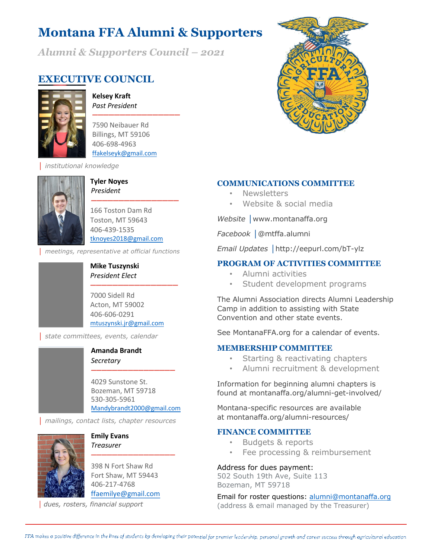# **Montana FFA Alumni & Supporters**

*Alumni & Supporters Council – 2021*

## **EXECUTIVE COUNCIL**



**Kelsey Kraft** *Past President ꟷꟷꟷꟷꟷꟷꟷꟷꟷꟷꟷꟷꟷꟷꟷꟷ*

7590 Neibauer Rd Billings, MT 59106 406-698-4963 ffakelseyk@gmail.com

│ *institutional knowledge*



**Tyler Noyes** *President*

166 Toston Dam Rd Toston, MT 59643 406-439-1535 tknoyes2018@gmail.com

*ꟷꟷꟷꟷꟷꟷꟷꟷꟷꟷꟷꟷꟷꟷꟷꟷ*

│ *meetings, representative at official functions*

#### **Mike Tuszynski** *President Elect*

*ꟷꟷꟷꟷꟷꟷꟷꟷꟷꟷꟷꟷꟷꟷꟷꟷ* 7000 Sidell Rd Acton, MT 59002 406-606-0291 mtuszynski.jr@gmail.com

│ *state committees, events, calendar*

#### **Amanda Brandt** *Secretary*

4029 Sunstone St. Bozeman, MT 59718 530-305-5961 Mandybrandt2000@gmail.com

*ꟷꟷꟷꟷꟷꟷꟷꟷꟷꟷꟷꟷꟷꟷꟷꟷ*

│ *mailings, contact lists, chapter resources*



**Emily Evans** *Treasurer*

398 N Fort Shaw Rd Fort Shaw, MT 59443 406-217-4768 ffaemilye@gmail.com

*ꟷꟷꟷꟷꟷꟷꟷꟷꟷꟷꟷꟷꟷꟷꟷꟷ*

│ *dues, rosters, financial support*



#### **COMMUNICATIONS COMMITTEE**

- **Newsletters**
- Website & social media

*Website* **│**www.montanaffa.org

*Facebook* **│**@mtffa.alumni

*Email Updates* **│**http://eepurl.com/bT-ylz

### **PROGRAM OF ACTIVITIES COMMITTEE**

- Alumni activities
- Student development programs

The Alumni Association directs Alumni Leadership Camp in addition to assisting with State Convention and other state events.

See MontanaFFA.org for a calendar of events.

#### **MEMBERSHIP COMMITTEE**

- Starting & reactivating chapters
- Alumni recruitment & development

Information for beginning alumni chapters is found at montanaffa.org/alumni-get-involved/

Montana-specific resources are available at montanaffa.org/alumni-resources/

#### **FINANCE COMMITTEE**

- Budgets & reports
- Fee processing & reimbursement

Address for dues payment:

502 South 19th Ave, Suite 113 Bozeman, MT 59718

Email for roster questions: alumni@montanaffa.org (address & email managed by the Treasurer)